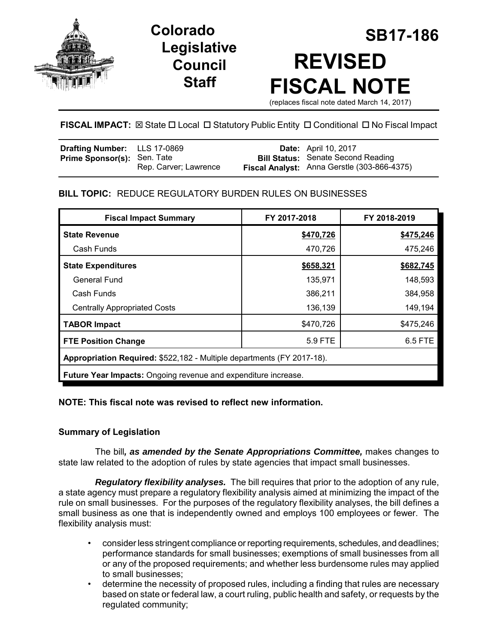

# **Legislative Council Staff**

# **SB17-186 Colorado REVISED FISCAL NOTE**

(replaces fiscal note dated March 14, 2017)

# **FISCAL IMPACT:** ⊠ State □ Local □ Statutory Public Entity □ Conditional □ No Fiscal Impact

| Drafting Number: LLS 17-0869       |                       | <b>Date:</b> April 10, 2017                 |
|------------------------------------|-----------------------|---------------------------------------------|
| <b>Prime Sponsor(s): Sen. Tate</b> |                       | <b>Bill Status: Senate Second Reading</b>   |
|                                    | Rep. Carver: Lawrence | Fiscal Analyst: Anna Gerstle (303-866-4375) |

# **BILL TOPIC:** REDUCE REGULATORY BURDEN RULES ON BUSINESSES

| <b>Fiscal Impact Summary</b>                                                  | FY 2017-2018 | FY 2018-2019 |  |  |  |
|-------------------------------------------------------------------------------|--------------|--------------|--|--|--|
| <b>State Revenue</b>                                                          | \$470,726    | \$475,246    |  |  |  |
| Cash Funds                                                                    | 470,726      | 475,246      |  |  |  |
| <b>State Expenditures</b>                                                     | \$658,321    | \$682,745    |  |  |  |
| General Fund                                                                  | 135,971      | 148,593      |  |  |  |
| Cash Funds                                                                    | 386,211      | 384,958      |  |  |  |
| <b>Centrally Appropriated Costs</b>                                           | 136,139      | 149,194      |  |  |  |
| <b>TABOR Impact</b>                                                           | \$470,726    | \$475,246    |  |  |  |
| <b>FTE Position Change</b>                                                    | 5.9 FTE      | 6.5 FTE      |  |  |  |
| <b>Appropriation Required: \$522,182 - Multiple departments (FY 2017-18).</b> |              |              |  |  |  |
| Future Year Impacts: Ongoing revenue and expenditure increase.                |              |              |  |  |  |

# **NOTE: This fiscal note was revised to reflect new information.**

# **Summary of Legislation**

The bill*, as amended by the Senate Appropriations Committee,* makes changes to state law related to the adoption of rules by state agencies that impact small businesses.

*Regulatory flexibility analyses.* The bill requires that prior to the adoption of any rule, a state agency must prepare a regulatory flexibility analysis aimed at minimizing the impact of the rule on small businesses. For the purposes of the regulatory flexibility analyses, the bill defines a small business as one that is independently owned and employs 100 employees or fewer. The flexibility analysis must:

- consider less stringent compliance or reporting requirements, schedules, and deadlines; performance standards for small businesses; exemptions of small businesses from all or any of the proposed requirements; and whether less burdensome rules may applied to small businesses;
- determine the necessity of proposed rules, including a finding that rules are necessary based on state or federal law, a court ruling, public health and safety, or requests by the regulated community;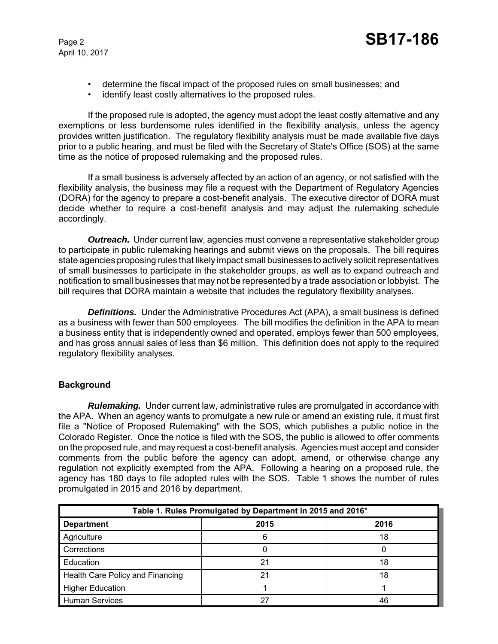- determine the fiscal impact of the proposed rules on small businesses; and
- identify least costly alternatives to the proposed rules.

If the proposed rule is adopted, the agency must adopt the least costly alternative and any exemptions or less burdensome rules identified in the flexibility analysis, unless the agency provides written justification. The regulatory flexibility analysis must be made available five days prior to a public hearing, and must be filed with the Secretary of State's Office (SOS) at the same time as the notice of proposed rulemaking and the proposed rules.

If a small business is adversely affected by an action of an agency, or not satisfied with the flexibility analysis, the business may file a request with the Department of Regulatory Agencies (DORA) for the agency to prepare a cost-benefit analysis. The executive director of DORA must decide whether to require a cost-benefit analysis and may adjust the rulemaking schedule accordingly.

*Outreach.* Under current law, agencies must convene a representative stakeholder group to participate in public rulemaking hearings and submit views on the proposals. The bill requires state agencies proposing rules that likely impact small businesses to actively solicit representatives of small businesses to participate in the stakeholder groups, as well as to expand outreach and notification to small businesses that may not be represented by a trade association or lobbyist. The bill requires that DORA maintain a website that includes the regulatory flexibility analyses.

**Definitions.** Under the Administrative Procedures Act (APA), a small business is defined as a business with fewer than 500 employees. The bill modifies the definition in the APA to mean a business entity that is independently owned and operated, employs fewer than 500 employees, and has gross annual sales of less than \$6 million. This definition does not apply to the required regulatory flexibility analyses.

# **Background**

*Rulemaking.* Under current law, administrative rules are promulgated in accordance with the APA. When an agency wants to promulgate a new rule or amend an existing rule, it must first file a "Notice of Proposed Rulemaking" with the SOS, which publishes a public notice in the Colorado Register. Once the notice is filed with the SOS, the public is allowed to offer comments on the proposed rule, and may request a cost-benefit analysis. Agencies must accept and consider comments from the public before the agency can adopt, amend, or otherwise change any regulation not explicitly exempted from the APA. Following a hearing on a proposed rule, the agency has 180 days to file adopted rules with the SOS. Table 1 shows the number of rules promulgated in 2015 and 2016 by department.

| Table 1. Rules Promulgated by Department in 2015 and 2016* |      |      |  |  |
|------------------------------------------------------------|------|------|--|--|
| <b>Department</b>                                          | 2015 | 2016 |  |  |
| Agriculture                                                |      | 18   |  |  |
| Corrections                                                |      |      |  |  |
| Education                                                  | 21   | 18   |  |  |
| Health Care Policy and Financing                           | 21   | 18   |  |  |
| <b>Higher Education</b>                                    |      |      |  |  |
| <b>Human Services</b>                                      | 27   | 46   |  |  |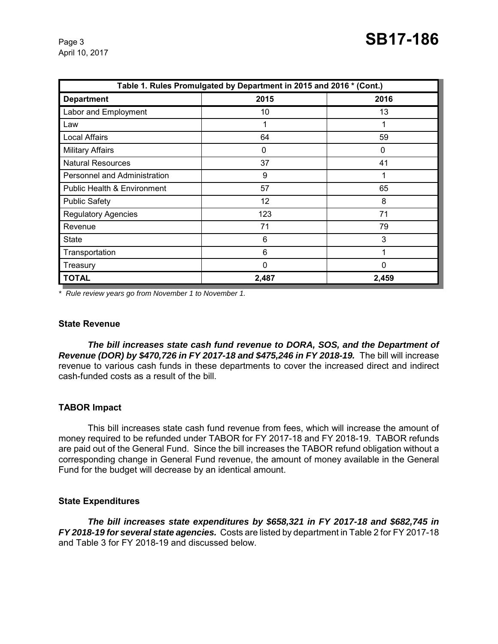| Table 1. Rules Promulgated by Department in 2015 and 2016 * (Cont.) |             |       |  |  |  |
|---------------------------------------------------------------------|-------------|-------|--|--|--|
| <b>Department</b>                                                   | 2015        | 2016  |  |  |  |
| Labor and Employment                                                | 10          | 13    |  |  |  |
| Law                                                                 | 1           | 1     |  |  |  |
| <b>Local Affairs</b>                                                | 64          | 59    |  |  |  |
| <b>Military Affairs</b>                                             | 0           | 0     |  |  |  |
| <b>Natural Resources</b>                                            | 37          | 41    |  |  |  |
| Personnel and Administration                                        | 9           | 1     |  |  |  |
| <b>Public Health &amp; Environment</b>                              | 57          | 65    |  |  |  |
| <b>Public Safety</b>                                                | 12          | 8     |  |  |  |
| <b>Regulatory Agencies</b>                                          | 123         | 71    |  |  |  |
| Revenue                                                             | 71          | 79    |  |  |  |
| <b>State</b>                                                        | 6           | 3     |  |  |  |
| Transportation                                                      | 6           | 1     |  |  |  |
| Treasury                                                            | $\mathbf 0$ | 0     |  |  |  |
| <b>TOTAL</b>                                                        | 2,487       | 2,459 |  |  |  |

*\* Rule review years go from November 1 to November 1.* 

#### **State Revenue**

*The bill increases state cash fund revenue to DORA, SOS, and the Department of Revenue (DOR) by \$470,726 in FY 2017-18 and \$475,246 in FY 2018-19.* The bill will increase revenue to various cash funds in these departments to cover the increased direct and indirect cash-funded costs as a result of the bill.

#### **TABOR Impact**

This bill increases state cash fund revenue from fees, which will increase the amount of money required to be refunded under TABOR for FY 2017-18 and FY 2018-19. TABOR refunds are paid out of the General Fund. Since the bill increases the TABOR refund obligation without a corresponding change in General Fund revenue, the amount of money available in the General Fund for the budget will decrease by an identical amount.

#### **State Expenditures**

*The bill increases state expenditures by \$658,321 in FY 2017-18 and \$682,745 in FY 2018-19 for several state agencies.* Costs are listed by department in Table 2 for FY 2017-18 and Table 3 for FY 2018-19 and discussed below.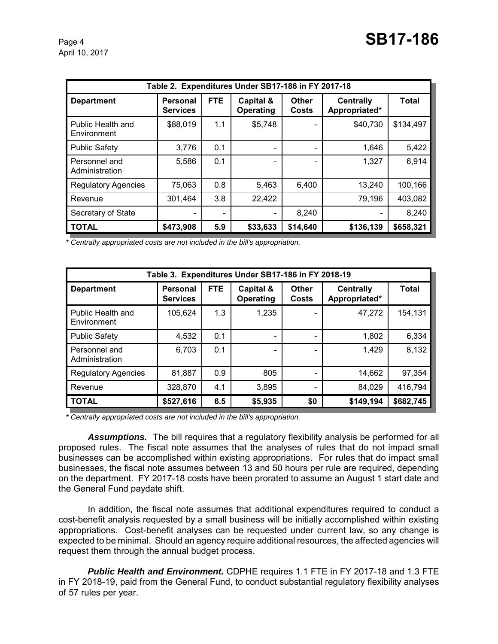| Table 2. Expenditures Under SB17-186 in FY 2017-18 |                                    |            |                          |                       |                                   |              |
|----------------------------------------------------|------------------------------------|------------|--------------------------|-----------------------|-----------------------------------|--------------|
| <b>Department</b>                                  | <b>Personal</b><br><b>Services</b> | <b>FTE</b> | Capital &<br>Operating   | Other<br><b>Costs</b> | <b>Centrally</b><br>Appropriated* | <b>Total</b> |
| Public Health and<br>Environment                   | \$88,019                           | 1.1        | \$5,748                  |                       | \$40,730                          | \$134,497    |
| <b>Public Safety</b>                               | 3,776                              | 0.1        | $\overline{\phantom{a}}$ |                       | 1,646                             | 5,422        |
| Personnel and<br>Administration                    | 5,586                              | 0.1        |                          |                       | 1,327                             | 6,914        |
| <b>Regulatory Agencies</b>                         | 75,063                             | 0.8        | 5,463                    | 6,400                 | 13,240                            | 100,166      |
| Revenue                                            | 301,464                            | 3.8        | 22,422                   |                       | 79,196                            | 403,082      |
| Secretary of State                                 |                                    |            | $\overline{\phantom{a}}$ | 8,240                 |                                   | 8,240        |
| <b>TOTAL</b>                                       | \$473,908                          | 5.9        | \$33,633                 | \$14,640              | \$136,139                         | \$658,321    |

*\* Centrally appropriated costs are not included in the bill's appropriation.*

| Table 3. Expenditures Under SB17-186 in FY 2018-19 |                             |            |                          |                       |                                   |              |
|----------------------------------------------------|-----------------------------|------------|--------------------------|-----------------------|-----------------------------------|--------------|
| <b>Department</b>                                  | Personal<br><b>Services</b> | <b>FTE</b> | Capital &<br>Operating   | Other<br><b>Costs</b> | <b>Centrally</b><br>Appropriated* | <b>Total</b> |
| Public Health and<br>Environment                   | 105,624                     | 1.3        | 1,235                    |                       | 47,272                            | 154,131      |
| <b>Public Safety</b>                               | 4,532                       | 0.1        | -                        |                       | 1,802                             | 6,334        |
| Personnel and<br>Administration                    | 6,703                       | 0.1        | $\overline{\phantom{a}}$ |                       | 1,429                             | 8,132        |
| <b>Regulatory Agencies</b>                         | 81,887                      | 0.9        | 805                      |                       | 14,662                            | 97,354       |
| Revenue                                            | 328,870                     | 4.1        | 3,895                    |                       | 84,029                            | 416,794      |
| <b>TOTAL</b>                                       | \$527,616                   | 6.5        | \$5,935                  | \$0                   | \$149,194                         | \$682,745    |

*\* Centrally appropriated costs are not included in the bill's appropriation.*

*Assumptions.* The bill requires that a regulatory flexibility analysis be performed for all proposed rules. The fiscal note assumes that the analyses of rules that do not impact small businesses can be accomplished within existing appropriations. For rules that do impact small businesses, the fiscal note assumes between 13 and 50 hours per rule are required, depending on the department. FY 2017-18 costs have been prorated to assume an August 1 start date and the General Fund paydate shift.

In addition, the fiscal note assumes that additional expenditures required to conduct a cost-benefit analysis requested by a small business will be initially accomplished within existing appropriations. Cost-benefit analyses can be requested under current law, so any change is expected to be minimal. Should an agency require additional resources, the affected agencies will request them through the annual budget process.

*Public Health and Environment.* CDPHE requires 1.1 FTE in FY 2017-18 and 1.3 FTE in FY 2018-19, paid from the General Fund, to conduct substantial regulatory flexibility analyses of 57 rules per year.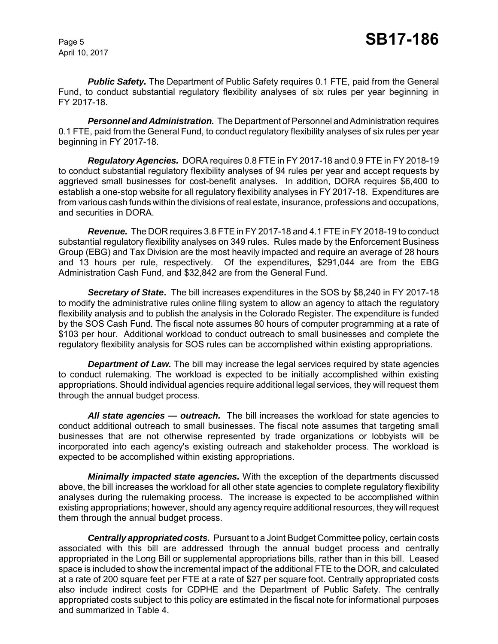**Public Safety.** The Department of Public Safety requires 0.1 FTE, paid from the General Fund, to conduct substantial regulatory flexibility analyses of six rules per year beginning in FY 2017-18.

*Personnel and Administration.* The Department of Personnel and Administration requires 0.1 FTE, paid from the General Fund, to conduct regulatory flexibility analyses of six rules per year beginning in FY 2017-18.

*Regulatory Agencies.* DORA requires 0.8 FTE in FY 2017-18 and 0.9 FTE in FY 2018-19 to conduct substantial regulatory flexibility analyses of 94 rules per year and accept requests by aggrieved small businesses for cost-benefit analyses. In addition, DORA requires \$6,400 to establish a one-stop website for all regulatory flexibility analyses in FY 2017-18.Expenditures are from various cash funds within the divisions of real estate, insurance, professions and occupations, and securities in DORA.

*Revenue.* The DOR requires 3.8 FTE in FY 2017-18 and 4.1 FTE in FY 2018-19 to conduct substantial regulatory flexibility analyses on 349 rules. Rules made by the Enforcement Business Group (EBG) and Tax Division are the most heavily impacted and require an average of 28 hours and 13 hours per rule, respectively. Of the expenditures, \$291,044 are from the EBG Administration Cash Fund, and \$32,842 are from the General Fund.

*Secretary of State***.** The bill increases expenditures in the SOS by \$8,240 in FY 2017-18 to modify the administrative rules online filing system to allow an agency to attach the regulatory flexibility analysis and to publish the analysis in the Colorado Register. The expenditure is funded by the SOS Cash Fund. The fiscal note assumes 80 hours of computer programming at a rate of \$103 per hour. Additional workload to conduct outreach to small businesses and complete the regulatory flexibility analysis for SOS rules can be accomplished within existing appropriations.

**Department of Law.** The bill may increase the legal services required by state agencies to conduct rulemaking. The workload is expected to be initially accomplished within existing appropriations. Should individual agencies require additional legal services, they will request them through the annual budget process.

*All state agencies — outreach.* The bill increases the workload for state agencies to conduct additional outreach to small businesses. The fiscal note assumes that targeting small businesses that are not otherwise represented by trade organizations or lobbyists will be incorporated into each agency's existing outreach and stakeholder process. The workload is expected to be accomplished within existing appropriations.

*Minimally impacted state agencies.* With the exception of the departments discussed above, the bill increases the workload for all other state agencies to complete regulatory flexibility analyses during the rulemaking process. The increase is expected to be accomplished within existing appropriations; however, should any agency require additional resources, they will request them through the annual budget process.

*Centrally appropriated costs.* Pursuant to a Joint Budget Committee policy, certain costs associated with this bill are addressed through the annual budget process and centrally appropriated in the Long Bill or supplemental appropriations bills, rather than in this bill. Leased space is included to show the incremental impact of the additional FTE to the DOR, and calculated at a rate of 200 square feet per FTE at a rate of \$27 per square foot. Centrally appropriated costs also include indirect costs for CDPHE and the Department of Public Safety. The centrally appropriated costs subject to this policy are estimated in the fiscal note for informational purposes and summarized in Table 4.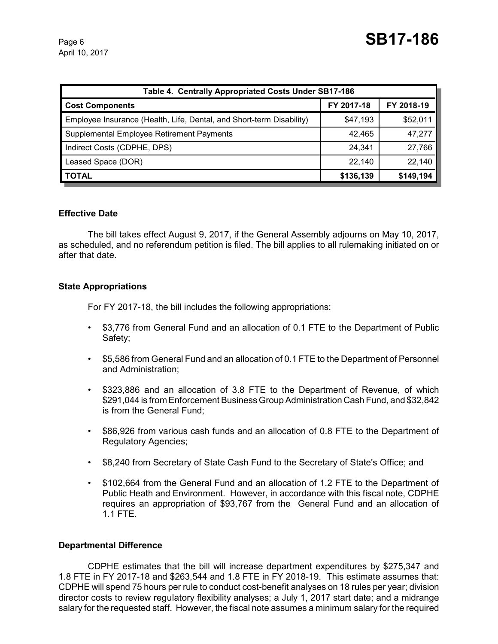| Table 4. Centrally Appropriated Costs Under SB17-186                 |            |            |  |  |  |
|----------------------------------------------------------------------|------------|------------|--|--|--|
| <b>Cost Components</b>                                               | FY 2017-18 | FY 2018-19 |  |  |  |
| Employee Insurance (Health, Life, Dental, and Short-term Disability) | \$47,193   | \$52,011   |  |  |  |
| Supplemental Employee Retirement Payments                            | 42,465     | 47,277     |  |  |  |
| Indirect Costs (CDPHE, DPS)                                          | 24,341     | 27,766     |  |  |  |
| Leased Space (DOR)                                                   | 22,140     | 22,140     |  |  |  |
| <b>TOTAL</b>                                                         | \$136,139  | \$149,194  |  |  |  |

#### **Effective Date**

The bill takes effect August 9, 2017, if the General Assembly adjourns on May 10, 2017, as scheduled, and no referendum petition is filed. The bill applies to all rulemaking initiated on or after that date.

#### **State Appropriations**

For FY 2017-18, the bill includes the following appropriations:

- \$3,776 from General Fund and an allocation of 0.1 FTE to the Department of Public Safety;
- \$5,586 from General Fund and an allocation of 0.1 FTE to the Department of Personnel and Administration;
- \$323,886 and an allocation of 3.8 FTE to the Department of Revenue, of which \$291,044 is from Enforcement Business Group Administration Cash Fund, and \$32,842 is from the General Fund;
- \$86,926 from various cash funds and an allocation of 0.8 FTE to the Department of Regulatory Agencies;
- \$8,240 from Secretary of State Cash Fund to the Secretary of State's Office; and
- \$102,664 from the General Fund and an allocation of 1.2 FTE to the Department of Public Heath and Environment. However, in accordance with this fiscal note, CDPHE requires an appropriation of \$93,767 from the General Fund and an allocation of 1.1 FTE.

#### **Departmental Difference**

CDPHE estimates that the bill will increase department expenditures by \$275,347 and 1.8 FTE in FY 2017-18 and \$263,544 and 1.8 FTE in FY 2018-19. This estimate assumes that: CDPHE will spend 75 hours per rule to conduct cost-benefit analyses on 18 rules per year; division director costs to review regulatory flexibility analyses; a July 1, 2017 start date; and a midrange salary for the requested staff. However, the fiscal note assumes a minimum salary for the required